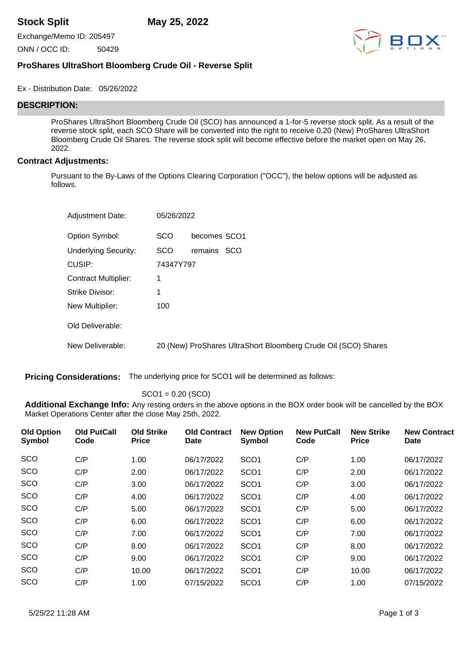**Stock Split May 25, 2022**

Exchange/Memo ID: 205497

ONN / OCC ID: 50429



## **ProShares UltraShort Bloomberg Crude Oil - Reverse Split**

Ex - Distribution Date: 05/26/2022

## **DESCRIPTION:**

ProShares UltraShort Bloomberg Crude Oil (SCO) has announced a 1-for-5 reverse stock split. As a result of the reverse stock split, each SCO Share will be converted into the right to receive 0.20 (New) ProShares UltraShort Bloomberg Crude Oil Shares. The reverse stock split will become effective before the market open on May 26, 2022.

## **Contract Adjustments:**

Pursuant to the By-Laws of the Options Clearing Corporation ("OCC"), the below options will be adjusted as follows.

| <b>Adjustment Date:</b>     | 05/26/2022 |                                                                |
|-----------------------------|------------|----------------------------------------------------------------|
| Option Symbol:              | <b>SCO</b> | becomes SCO1                                                   |
| <b>Underlying Security:</b> | <b>SCO</b> | remains SCO                                                    |
| CUSIP:                      | 74347Y797  |                                                                |
| <b>Contract Multiplier:</b> | 1          |                                                                |
| Strike Divisor:             | 1          |                                                                |
| New Multiplier:             | 100        |                                                                |
| Old Deliverable:            |            |                                                                |
| New Deliverable:            |            | 20 (New) ProShares UltraShort Bloomberg Crude Oil (SCO) Shares |

**Pricing Considerations:** The underlying price for SCO1 will be determined as follows:

SCO1 = 0.20 (SCO)

**Additional Exchange Info:** Any resting orders in the above options in the BOX order book will be cancelled by the BOX Market Operations Center after the close May 25th, 2022.

| <b>Old Option</b><br><b>Symbol</b> | <b>Old PutCall</b><br>Code | <b>Old Strike</b><br><b>Price</b> | <b>Old Contract</b><br>Date | <b>New Option</b><br>Symbol | <b>New PutCall</b><br>Code | <b>New Strike</b><br><b>Price</b> | <b>New Contract</b><br><b>Date</b> |
|------------------------------------|----------------------------|-----------------------------------|-----------------------------|-----------------------------|----------------------------|-----------------------------------|------------------------------------|
| SCO                                | C/P                        | 1.00                              | 06/17/2022                  | SCO <sub>1</sub>            | C/P                        | 1.00                              | 06/17/2022                         |
| <b>SCO</b>                         | C/P                        | 2.00                              | 06/17/2022                  | SCO <sub>1</sub>            | C/P                        | 2.00                              | 06/17/2022                         |
| <b>SCO</b>                         | C/P                        | 3.00                              | 06/17/2022                  | SCO <sub>1</sub>            | C/P                        | 3.00                              | 06/17/2022                         |
| SCO                                | C/P                        | 4.00                              | 06/17/2022                  | SCO <sub>1</sub>            | C/P                        | 4.00                              | 06/17/2022                         |
| SCO                                | C/P                        | 5.00                              | 06/17/2022                  | SCO <sub>1</sub>            | C/P                        | 5.00                              | 06/17/2022                         |
| SCO                                | C/P                        | 6.00                              | 06/17/2022                  | SCO <sub>1</sub>            | C/P                        | 6.00                              | 06/17/2022                         |
| SCO                                | C/P                        | 7.00                              | 06/17/2022                  | SCO <sub>1</sub>            | C/P                        | 7.00                              | 06/17/2022                         |
| SCO                                | C/P                        | 8.00                              | 06/17/2022                  | SCO <sub>1</sub>            | C/P                        | 8.00                              | 06/17/2022                         |
| SCO                                | C/P                        | 9.00                              | 06/17/2022                  | SCO <sub>1</sub>            | C/P                        | 9.00                              | 06/17/2022                         |
| SCO                                | C/P                        | 10.00                             | 06/17/2022                  | SCO <sub>1</sub>            | C/P                        | 10.00                             | 06/17/2022                         |
| SCO                                | C/P                        | 1.00                              | 07/15/2022                  | SCO <sub>1</sub>            | C/P                        | 1.00                              | 07/15/2022                         |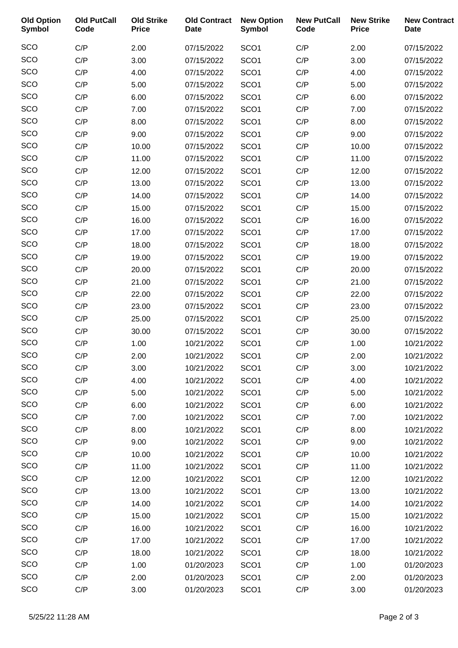| <b>Old Option</b><br><b>Symbol</b> | <b>Old PutCall</b><br>Code | <b>Old Strike</b><br><b>Price</b> | <b>Old Contract</b><br><b>Date</b> | <b>New Option</b><br>Symbol | <b>New PutCall</b><br>Code | <b>New Strike</b><br><b>Price</b> | <b>New Contract</b><br><b>Date</b> |
|------------------------------------|----------------------------|-----------------------------------|------------------------------------|-----------------------------|----------------------------|-----------------------------------|------------------------------------|
| SCO                                | C/P                        | 2.00                              | 07/15/2022                         | SCO <sub>1</sub>            | C/P                        | 2.00                              | 07/15/2022                         |
| SCO                                | C/P                        | 3.00                              | 07/15/2022                         | SCO <sub>1</sub>            | C/P                        | 3.00                              | 07/15/2022                         |
| SCO                                | C/P                        | 4.00                              | 07/15/2022                         | SCO <sub>1</sub>            | C/P                        | 4.00                              | 07/15/2022                         |
| SCO                                | C/P                        | 5.00                              | 07/15/2022                         | SCO <sub>1</sub>            | C/P                        | 5.00                              | 07/15/2022                         |
| SCO                                | C/P                        | 6.00                              | 07/15/2022                         | SCO <sub>1</sub>            | C/P                        | 6.00                              | 07/15/2022                         |
| SCO                                | C/P                        | 7.00                              | 07/15/2022                         | SCO <sub>1</sub>            | C/P                        | 7.00                              | 07/15/2022                         |
| SCO                                | C/P                        | 8.00                              | 07/15/2022                         | SCO <sub>1</sub>            | C/P                        | 8.00                              | 07/15/2022                         |
| SCO                                | C/P                        | 9.00                              | 07/15/2022                         | SCO <sub>1</sub>            | C/P                        | 9.00                              | 07/15/2022                         |
| SCO                                | C/P                        | 10.00                             | 07/15/2022                         | SCO <sub>1</sub>            | C/P                        | 10.00                             | 07/15/2022                         |
| SCO                                | C/P                        | 11.00                             | 07/15/2022                         | SCO <sub>1</sub>            | C/P                        | 11.00                             | 07/15/2022                         |
| SCO                                | C/P                        | 12.00                             | 07/15/2022                         | SCO <sub>1</sub>            | C/P                        | 12.00                             | 07/15/2022                         |
| SCO                                | C/P                        | 13.00                             | 07/15/2022                         | SCO <sub>1</sub>            | C/P                        | 13.00                             | 07/15/2022                         |
| SCO                                | C/P                        | 14.00                             | 07/15/2022                         | SCO <sub>1</sub>            | C/P                        | 14.00                             | 07/15/2022                         |
| SCO                                | C/P                        | 15.00                             | 07/15/2022                         | SCO <sub>1</sub>            | C/P                        | 15.00                             | 07/15/2022                         |
| SCO                                | C/P                        | 16.00                             | 07/15/2022                         | SCO <sub>1</sub>            | C/P                        | 16.00                             | 07/15/2022                         |
| SCO                                | C/P                        | 17.00                             | 07/15/2022                         | SCO <sub>1</sub>            | C/P                        | 17.00                             | 07/15/2022                         |
| SCO                                | C/P                        | 18.00                             | 07/15/2022                         | SCO <sub>1</sub>            | C/P                        | 18.00                             | 07/15/2022                         |
| SCO                                | C/P                        | 19.00                             | 07/15/2022                         | SCO <sub>1</sub>            | C/P                        | 19.00                             | 07/15/2022                         |
| SCO                                | C/P                        | 20.00                             | 07/15/2022                         | SCO <sub>1</sub>            | C/P                        | 20.00                             | 07/15/2022                         |
| SCO                                | C/P                        | 21.00                             | 07/15/2022                         | SCO <sub>1</sub>            | C/P                        | 21.00                             | 07/15/2022                         |
| SCO                                | C/P                        | 22.00                             | 07/15/2022                         | SCO <sub>1</sub>            | C/P                        | 22.00                             | 07/15/2022                         |
| SCO                                | C/P                        | 23.00                             | 07/15/2022                         | SCO <sub>1</sub>            | C/P                        | 23.00                             | 07/15/2022                         |
| SCO                                | C/P                        | 25.00                             | 07/15/2022                         | SCO <sub>1</sub>            | C/P                        | 25.00                             | 07/15/2022                         |
| SCO                                | C/P                        | 30.00                             | 07/15/2022                         | SCO <sub>1</sub>            | C/P                        | 30.00                             | 07/15/2022                         |
| SCO                                | C/P                        | 1.00                              | 10/21/2022                         | SCO <sub>1</sub>            | C/P                        | 1.00                              | 10/21/2022                         |
| SCO                                | C/P                        | 2.00                              | 10/21/2022                         | SCO <sub>1</sub>            | C/P                        | 2.00                              | 10/21/2022                         |
| <b>SCO</b>                         | C/P                        | 3.00                              | 10/21/2022                         | SCO <sub>1</sub>            | C/P                        | 3.00                              | 10/21/2022                         |
| SCO                                | C/P                        | 4.00                              | 10/21/2022                         | SCO <sub>1</sub>            | C/P                        | 4.00                              | 10/21/2022                         |
| SCO                                | C/P                        | 5.00                              | 10/21/2022                         | SCO <sub>1</sub>            | C/P                        | 5.00                              | 10/21/2022                         |
| SCO                                | C/P                        | 6.00                              | 10/21/2022                         | SCO <sub>1</sub>            | C/P                        | 6.00                              | 10/21/2022                         |
| SCO                                | C/P                        | 7.00                              | 10/21/2022                         | SCO <sub>1</sub>            | C/P                        | 7.00                              | 10/21/2022                         |
| SCO                                | C/P                        | 8.00                              | 10/21/2022                         | SCO <sub>1</sub>            | C/P                        | 8.00                              | 10/21/2022                         |
| SCO                                | C/P                        | 9.00                              | 10/21/2022                         | SCO <sub>1</sub>            | C/P                        | 9.00                              | 10/21/2022                         |
| SCO                                | C/P                        | 10.00                             | 10/21/2022                         | SCO <sub>1</sub>            | C/P                        | 10.00                             | 10/21/2022                         |
| SCO                                | C/P                        | 11.00                             | 10/21/2022                         | SCO <sub>1</sub>            | C/P                        | 11.00                             | 10/21/2022                         |
| SCO                                | C/P                        | 12.00                             | 10/21/2022                         | SCO <sub>1</sub>            | C/P                        | 12.00                             | 10/21/2022                         |
| SCO                                | C/P                        | 13.00                             | 10/21/2022                         | SCO <sub>1</sub>            | C/P                        | 13.00                             | 10/21/2022                         |
| SCO                                | C/P                        | 14.00                             | 10/21/2022                         | SCO <sub>1</sub>            | C/P                        | 14.00                             | 10/21/2022                         |
| SCO                                | C/P                        | 15.00                             | 10/21/2022                         | SCO <sub>1</sub>            | C/P                        | 15.00                             | 10/21/2022                         |
| SCO                                | C/P                        | 16.00                             | 10/21/2022                         | SCO <sub>1</sub>            | C/P                        | 16.00                             | 10/21/2022                         |
| SCO                                | C/P                        | 17.00                             | 10/21/2022                         | SCO <sub>1</sub>            | C/P                        | 17.00                             | 10/21/2022                         |
| SCO                                | C/P                        | 18.00                             | 10/21/2022                         | SCO <sub>1</sub>            | C/P                        | 18.00                             | 10/21/2022                         |
| SCO                                | C/P                        | 1.00                              | 01/20/2023                         | SCO <sub>1</sub>            | C/P                        | 1.00                              | 01/20/2023                         |
| SCO                                | C/P                        | 2.00                              | 01/20/2023                         | SCO <sub>1</sub>            | C/P                        | 2.00                              | 01/20/2023                         |
| SCO                                | C/P                        | 3.00                              | 01/20/2023                         | SCO <sub>1</sub>            | C/P                        | 3.00                              | 01/20/2023                         |